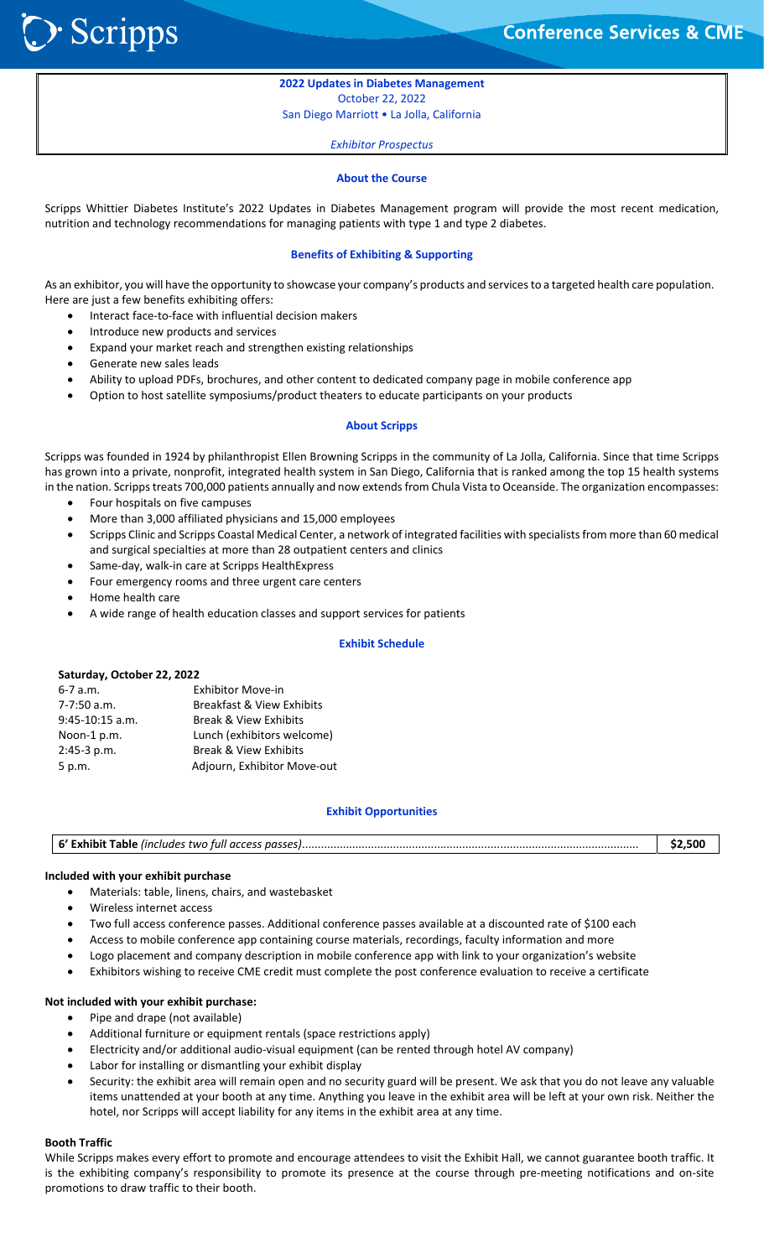Scripps **S** 

֦֘

**2022 Updates in Diabetes Management**  October 22, 2022 San Diego Marriott • La Jolla, California

*Exhibitor Prospectus*

#### **About the Course**

Scripps Whittier Diabetes Institute's 2022 Updates in Diabetes Management program will provide the most recent medication, nutrition and technology recommendations for managing patients with type 1 and type 2 diabetes.

#### **Benefits of Exhibiting & Supporting**

As an exhibitor, you will have the opportunity to showcase your company's products and services to a targeted health care population. Here are just a few benefits exhibiting offers:

- Interact face‐to‐face with influential decision makers
- Introduce new products and services
- Expand your market reach and strengthen existing relationships
- Generate new sales leads
- Ability to upload PDFs, brochures, and other content to dedicated company page in mobile conference app
- Option to host satellite symposiums/product theaters to educate participants on your products

#### **About Scripps**

Scripps was founded in 1924 by philanthropist Ellen Browning Scripps in the community of La Jolla, California. Since that time Scripps has grown into a private, nonprofit, integrated health system in San Diego, California that is ranked among the top 15 health systems in the nation. Scripps treats 700,000 patients annually and now extends from Chula Vista to Oceanside. The organization encompasses:

- Four hospitals on five campuses
- More than 3,000 affiliated physicians and 15,000 employees
- Scripps Clinic and Scripps Coastal Medical Center, a network of integrated facilities with specialists from more than 60 medical and surgical specialties at more than 28 outpatient centers and clinics
- Same‐day, walk‐in care at Scripps HealthExpress
- Four emergency rooms and three urgent care centers
- Home health care
- A wide range of health education classes and support services for patients

#### **Exhibit Schedule**

#### **Saturday, October 22, 2022**

| $6 - 7$ a.m.      | <b>Exhibitor Move-in</b>         |
|-------------------|----------------------------------|
| $7-7:50$ a.m.     | Breakfast & View Exhibits        |
| $9:45-10:15$ a.m. | <b>Break &amp; View Exhibits</b> |
| Noon-1 p.m.       | Lunch (exhibitors welcome)       |
| $2:45-3 p.m.$     | <b>Break &amp; View Exhibits</b> |
| 5 p.m.            | Adjourn, Exhibitor Move-out      |

#### **Exhibit Opportunities**

| 6' Exhibit Table (includes two full access passes) | 32.5U |
|----------------------------------------------------|-------|
|----------------------------------------------------|-------|

#### **Included with your exhibit purchase**

- Materials: table, linens, chairs, and wastebasket
- Wireless internet access
- Two full access conference passes. Additional conference passes available at a discounted rate of \$100 each
- Access to mobile conference app containing course materials, recordings, faculty information and more
- Logo placement and company description in mobile conference app with link to your organization's website
- Exhibitors wishing to receive CME credit must complete the post conference evaluation to receive a certificate

#### **Not included with your exhibit purchase:**

- Pipe and drape (not available)
- Additional furniture or equipment rentals (space restrictions apply)
- Electricity and/or additional audio‐visual equipment (can be rented through hotel AV company)
- Labor for installing or dismantling your exhibit display
- Security: the exhibit area will remain open and no security guard will be present. We ask that you do not leave any valuable items unattended at your booth at any time. Anything you leave in the exhibit area will be left at your own risk. Neither the hotel, nor Scripps will accept liability for any items in the exhibit area at any time.

#### **Booth Traffic**

While Scripps makes every effort to promote and encourage attendees to visit the Exhibit Hall, we cannot guarantee booth traffic. It is the exhibiting company's responsibility to promote its presence at the course through pre-meeting notifications and on-site promotions to draw traffic to their booth.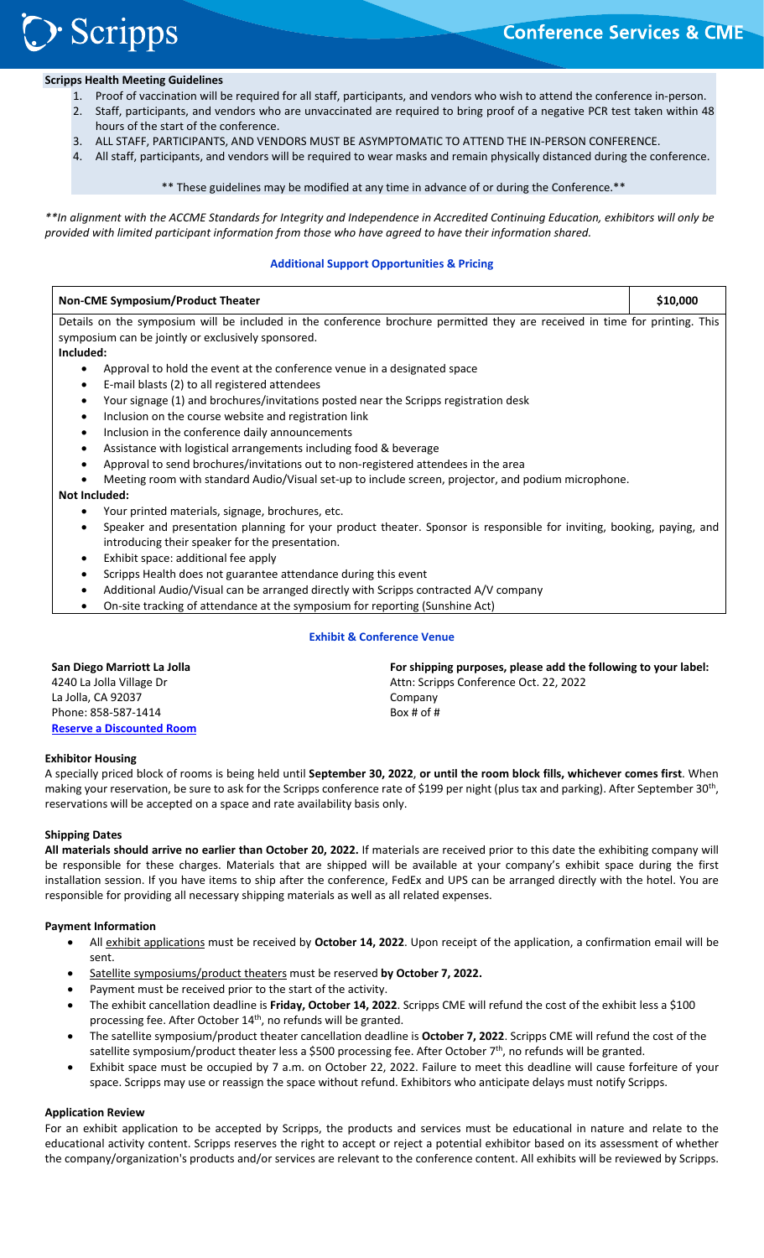# **Scripps** ֦֘

### **Scripps Health Meeting Guidelines**

- 1. Proof of vaccination will be required for all staff, participants, and vendors who wish to attend the conference in‐person.
- 2. Staff, participants, and vendors who are unvaccinated are required to bring proof of a negative PCR test taken within 48 hours of the start of the conference.
- 3. ALL STAFF, PARTICIPANTS, AND VENDORS MUST BE ASYMPTOMATIC TO ATTEND THE IN‐PERSON CONFERENCE.
- 4. All staff, participants, and vendors will be required to wear masks and remain physically distanced during the conference.

\*\* These guidelines may be modified at any time in advance of or during the Conference.\*\*

*\*\*In alignment with the ACCME Standards for Integrity and Independence in Accredited Continuing Education, exhibitors will only be provided with limited participant information from those who have agreed to have their information shared.* 

#### **Additional Support Opportunities & Pricing**

| <b>Non-CME Symposium/Product Theater</b>                                                                                    | \$10,000 |
|-----------------------------------------------------------------------------------------------------------------------------|----------|
| Details on the symposium will be included in the conference brochure permitted they are received in time for printing. This |          |
| symposium can be jointly or exclusively sponsored.                                                                          |          |
| Included:                                                                                                                   |          |
| Approval to hold the event at the conference venue in a designated space                                                    |          |
| E-mail blasts (2) to all registered attendees                                                                               |          |
| Your signage (1) and brochures/invitations posted near the Scripps registration desk<br>٠                                   |          |
| Inclusion on the course website and registration link<br>$\bullet$                                                          |          |
| Inclusion in the conference daily announcements<br>$\bullet$                                                                |          |
| Assistance with logistical arrangements including food & beverage<br>٠                                                      |          |
| Approval to send brochures/invitations out to non-registered attendees in the area                                          |          |
| Meeting room with standard Audio/Visual set-up to include screen, projector, and podium microphone.                         |          |
| Not Included:                                                                                                               |          |
| Your printed materials, signage, brochures, etc.                                                                            |          |
| Speaker and presentation planning for your product theater. Sponsor is responsible for inviting, booking, paying, and       |          |
| introducing their speaker for the presentation.                                                                             |          |
| Exhibit space: additional fee apply                                                                                         |          |
| Scripps Health does not guarantee attendance during this event                                                              |          |
| Additional Audio Wisual can be arranged directly with Cerinns sentracted AAV company                                        |          |

- Additional Audio/Visual can be arranged directly with Scripps contracted A/V company
- On‐site tracking of attendance at the symposium for reporting (Sunshine Act)

#### **Exhibit & Conference Venue**

| San Diego Marriott La Jolla      | For shipping purposes, please add the following to your label: |
|----------------------------------|----------------------------------------------------------------|
| 4240 La Jolla Village Dr         | Attn: Scripps Conference Oct. 22, 2022                         |
| La Jolla. CA 92037               | Company                                                        |
| Phone: 858-587-1414              | Box # of $#$                                                   |
| <b>Reserve a Discounted Room</b> |                                                                |

#### **Exhibitor Housing**

A specially priced block of rooms is being held until **September 30, 2022**, **or until the room block fills, whichever comes first**. When making your reservation, be sure to ask for the Scripps conference rate of \$199 per night (plus tax and parking). After September 30<sup>th</sup>, reservations will be accepted on a space and rate availability basis only.

#### **Shipping Dates**

**All materials should arrive no earlier than October 20, 2022.** If materials are received prior to this date the exhibiting company will be responsible for these charges. Materials that are shipped will be available at your company's exhibit space during the first installation session. If you have items to ship after the conference, FedEx and UPS can be arranged directly with the hotel. You are responsible for providing all necessary shipping materials as well as all related expenses.

#### **Payment Information**

- All exhibit applications must be received by October 14, 2022. Upon receipt of the application, a confirmation email will be sent.
- Satellite symposiums/product theaters must be reserved **by October 7, 2022.**
- Payment must be received prior to the start of the activity.
- The exhibit cancellation deadline is **Friday, October 14, 2022**. Scripps CME will refund the cost of the exhibit less a \$100 processing fee. After October 14<sup>th</sup>, no refunds will be granted.
- The satellite symposium/product theater cancellation deadline is **October 7, 2022**. Scripps CME will refund the cost of the satellite symposium/product theater less a \$500 processing fee. After October 7<sup>th</sup>, no refunds will be granted.
- Exhibit space must be occupied by 7 a.m. on October 22, 2022. Failure to meet this deadline will cause forfeiture of your space. Scripps may use or reassign the space without refund. Exhibitors who anticipate delays must notify Scripps.

#### **Application Review**

For an exhibit application to be accepted by Scripps, the products and services must be educational in nature and relate to the educational activity content. Scripps reserves the right to accept or reject a potential exhibitor based on its assessment of whether the company/organization's products and/or services are relevant to the conference content. All exhibits will be reviewed by Scripps.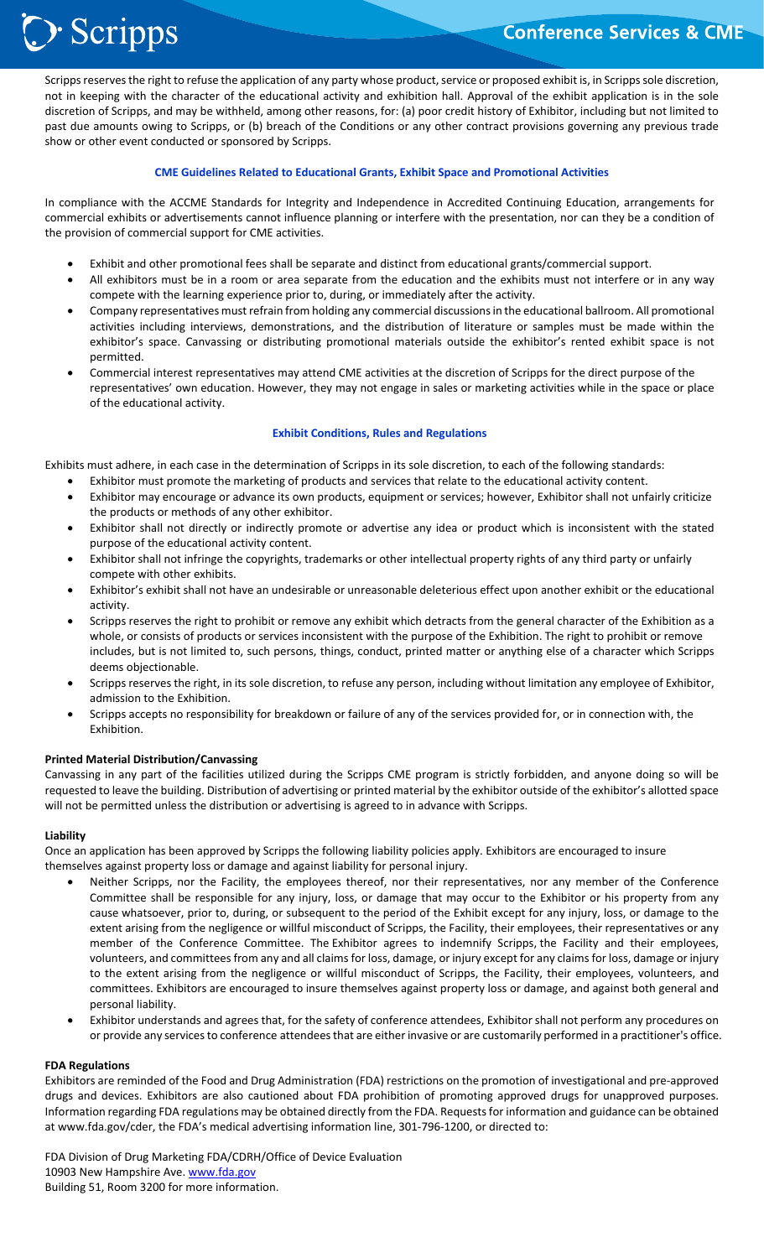## **Conference Services & CME**

֦֘ Scripps reserves the right to refuse the application of any party whose product, service or proposed exhibit is, in Scripps sole discretion, not in keeping with the character of the educational activity and exhibition hall. Approval of the exhibit application is in the sole discretion of Scripps, and may be withheld, among other reasons, for: (a) poor credit history of Exhibitor, including but not limited to past due amounts owing to Scripps, or (b) breach of the Conditions or any other contract provisions governing any previous trade show or other event conducted or sponsored by Scripps.

#### **CME Guidelines Related to Educational Grants, Exhibit Space and Promotional Activities**

In compliance with the ACCME Standards for Integrity and Independence in Accredited Continuing Education, arrangements for commercial exhibits or advertisements cannot influence planning or interfere with the presentation, nor can they be a condition of the provision of commercial support for CME activities.

- Exhibit and other promotional fees shall be separate and distinct from educational grants/commercial support.
- All exhibitors must be in a room or area separate from the education and the exhibits must not interfere or in any way compete with the learning experience prior to, during, or immediately after the activity.
- Company representatives must refrain from holding any commercial discussions in the educational ballroom. All promotional activities including interviews, demonstrations, and the distribution of literature or samples must be made within the exhibitor's space. Canvassing or distributing promotional materials outside the exhibitor's rented exhibit space is not permitted.
- Commercial interest representatives may attend CME activities at the discretion of Scripps for the direct purpose of the representatives' own education. However, they may not engage in sales or marketing activities while in the space or place of the educational activity.

#### **Exhibit Conditions, Rules and Regulations**

Exhibits must adhere, in each case in the determination of Scripps in its sole discretion, to each of the following standards:

- Exhibitor must promote the marketing of products and services that relate to the educational activity content.
- Exhibitor may encourage or advance its own products, equipment or services; however, Exhibitor shall not unfairly criticize the products or methods of any other exhibitor.
- Exhibitor shall not directly or indirectly promote or advertise any idea or product which is inconsistent with the stated purpose of the educational activity content.
- Exhibitor shall not infringe the copyrights, trademarks or other intellectual property rights of any third party or unfairly compete with other exhibits.
- Exhibitor's exhibit shall not have an undesirable or unreasonable deleterious effect upon another exhibit or the educational activity.
- Scripps reserves the right to prohibit or remove any exhibit which detracts from the general character of the Exhibition as a whole, or consists of products or services inconsistent with the purpose of the Exhibition. The right to prohibit or remove includes, but is not limited to, such persons, things, conduct, printed matter or anything else of a character which Scripps deems objectionable.
- Scripps reserves the right, in its sole discretion, to refuse any person, including without limitation any employee of Exhibitor, admission to the Exhibition.
- Scripps accepts no responsibility for breakdown or failure of any of the services provided for, or in connection with, the Exhibition.

#### **Printed Material Distribution/Canvassing**

> Scripps

Canvassing in any part of the facilities utilized during the Scripps CME program is strictly forbidden, and anyone doing so will be requested to leave the building. Distribution of advertising or printed material by the exhibitor outside of the exhibitor's allotted space will not be permitted unless the distribution or advertising is agreed to in advance with Scripps.

#### **Liability**

Once an application has been approved by Scripps the following liability policies apply. Exhibitors are encouraged to insure themselves against property loss or damage and against liability for personal injury.

- Neither Scripps, nor the Facility, the employees thereof, nor their representatives, nor any member of the Conference Committee shall be responsible for any injury, loss, or damage that may occur to the Exhibitor or his property from any cause whatsoever, prior to, during, or subsequent to the period of the Exhibit except for any injury, loss, or damage to the extent arising from the negligence or willful misconduct of Scripps, the Facility, their employees, their representatives or any member of the Conference Committee. The Exhibitor agrees to indemnify Scripps, the Facility and their employees, volunteers, and committees from any and all claims for loss, damage, or injury except for any claims for loss, damage or injury to the extent arising from the negligence or willful misconduct of Scripps, the Facility, their employees, volunteers, and committees. Exhibitors are encouraged to insure themselves against property loss or damage, and against both general and personal liability.
- Exhibitor understands and agrees that, for the safety of conference attendees, Exhibitor shall not perform any procedures on or provide any services to conference attendees that are either invasive or are customarily performed in a practitioner's office.

#### **FDA Regulations**

Exhibitors are reminded of the Food and Drug Administration (FDA) restrictions on the promotion of investigational and pre‐approved drugs and devices. Exhibitors are also cautioned about FDA prohibition of promoting approved drugs for unapproved purposes. Information regarding FDA regulations may be obtained directly from the FDA. Requests for information and guidance can be obtained at www.fda.gov/cder, the FDA's medical advertising information line, 301‐796‐1200, or directed to:

FDA Division of Drug Marketing FDA/CDRH/Office of Device Evaluation 10903 New Hampshire Ave. www.fda.gov Building 51, Room 3200 for more information.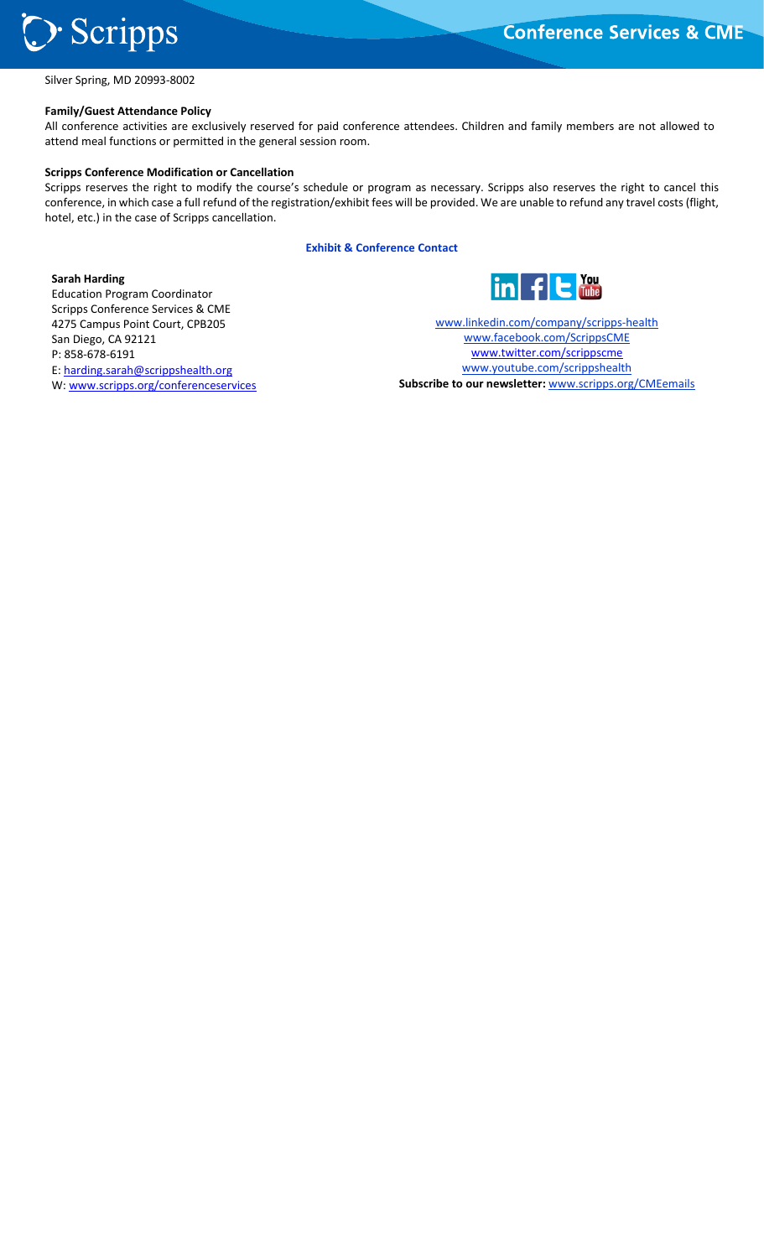

֦֘ Silver Spring, MD 20993‐8002

#### **Family/Guest Attendance Policy**

All conference activities are exclusively reserved for paid conference attendees. Children and family members are not allowed to attend meal functions or permitted in the general session room.

#### **Scripps Conference Modification or Cancellation**

Scripps reserves the right to modify the course's schedule or program as necessary. Scripps also reserves the right to cancel this conference, in which case a full refund of the registration/exhibit fees will be provided. We are unable to refund any travel costs (flight, hotel, etc.) in the case of Scripps cancellation.

**Exhibit & Conference Contact** 

#### **Sarah Harding**

Education Program Coordinator Scripps Conference Services & CME 4275 Campus Point Court, CPB205 San Diego, CA 92121 P: 858‐678‐6191 E: harding.sarah@scrippshealth.org W: www.scripps.org/conferenceservices



www.linkedin.com/company/scripps‐health www.facebook.com/ScrippsCME www.twitter.com/scrippscme www.youtube.com/scrippshealth **Subscribe to our newsletter:** www.scripps.org/CMEemails